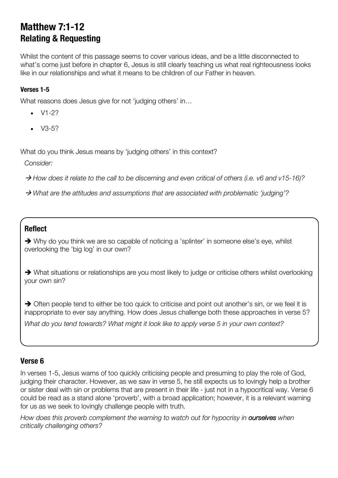# **Matthew 7:1-12 Relating & Requesting**

Whilst the content of this passage seems to cover various ideas, and be a little disconnected to what's come just before in chapter 6, Jesus is still clearly teaching us what real righteousness looks like in our relationships and what it means to be children of our Father in heaven.

#### **Verses 1-5**

What reasons does Jesus give for not 'judging others' in...

- V1-2?
- $\bullet$  V3-5?

What do you think Jesus means by 'judging others' in this context?

*Consider:*

à *How does it relate to the call to be discerning and even critical of others (i.e. v6 and v15-16)?*

à *What are the attitudes and assumptions that are associated with problematic 'judging'?*

## **Reflect**

• Why do you think we are so capable of noticing a 'splinter' in someone else's eye, whilst overlooking the 'big log' in our own?

• What situations or relationships are you most likely to judge or criticise others whilst overlooking your own sin?

 $\rightarrow$  Often people tend to either be too quick to criticise and point out another's sin, or we feel it is inappropriate to ever say anything. How does Jesus challenge both these approaches in verse 5?

*What do you tend towards? What might it look like to apply verse 5 in your own context?*

#### **Verse 6**

In verses 1-5, Jesus warns of too quickly criticising people and presuming to play the role of God, judging their character. However, as we saw in verse 5, he still expects us to lovingly help a brother or sister deal with sin or problems that are present in their life - just not in a hypocritical way. Verse 6 could be read as a stand alone 'proverb', with a broad application; however, it is a relevant warning for us as we seek to lovingly challenge people with truth.

*How does this proverb complement the warning to watch out for hypocrisy in ourselves when critically challenging others?*